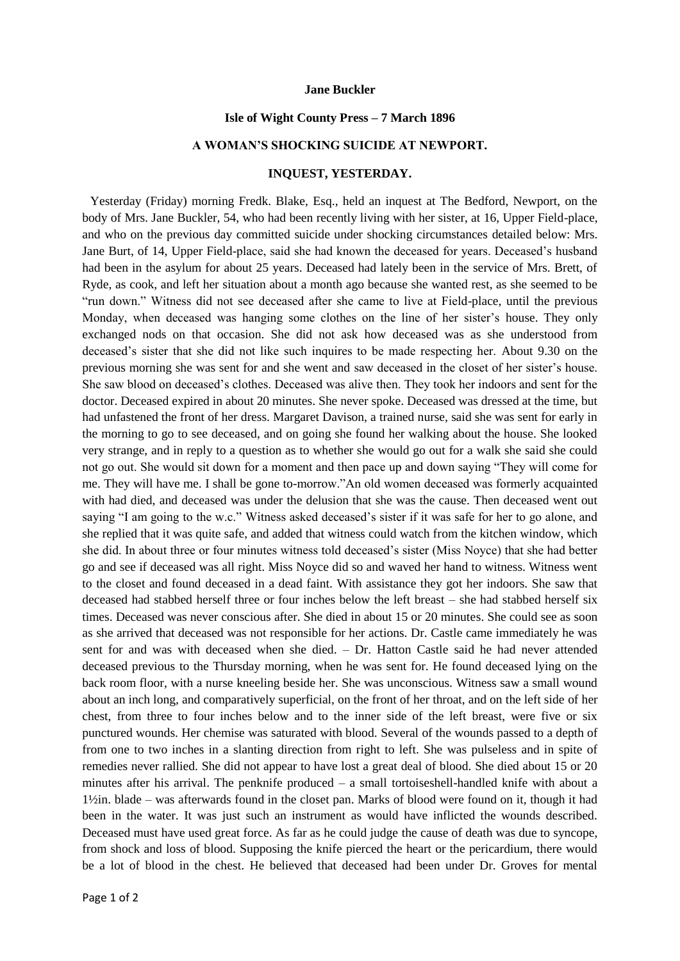## **Jane Buckler**

## **Isle of Wight County Press – 7 March 1896**

## **A WOMAN'S SHOCKING SUICIDE AT NEWPORT.**

## **INQUEST, YESTERDAY.**

Yesterday (Friday) morning Fredk. Blake, Esq., held an inquest at The Bedford, Newport, on the body of Mrs. Jane Buckler, 54, who had been recently living with her sister, at 16, Upper Field-place, and who on the previous day committed suicide under shocking circumstances detailed below: Mrs. Jane Burt, of 14, Upper Field-place, said she had known the deceased for years. Deceased's husband had been in the asylum for about 25 years. Deceased had lately been in the service of Mrs. Brett, of Ryde, as cook, and left her situation about a month ago because she wanted rest, as she seemed to be "run down." Witness did not see deceased after she came to live at Field-place, until the previous Monday, when deceased was hanging some clothes on the line of her sister's house. They only exchanged nods on that occasion. She did not ask how deceased was as she understood from deceased's sister that she did not like such inquires to be made respecting her. About 9.30 on the previous morning she was sent for and she went and saw deceased in the closet of her sister's house. She saw blood on deceased's clothes. Deceased was alive then. They took her indoors and sent for the doctor. Deceased expired in about 20 minutes. She never spoke. Deceased was dressed at the time, but had unfastened the front of her dress. Margaret Davison, a trained nurse, said she was sent for early in the morning to go to see deceased, and on going she found her walking about the house. She looked very strange, and in reply to a question as to whether she would go out for a walk she said she could not go out. She would sit down for a moment and then pace up and down saying "They will come for me. They will have me. I shall be gone to-morrow."An old women deceased was formerly acquainted with had died, and deceased was under the delusion that she was the cause. Then deceased went out saying "I am going to the w.c." Witness asked deceased's sister if it was safe for her to go alone, and she replied that it was quite safe, and added that witness could watch from the kitchen window, which she did. In about three or four minutes witness told deceased's sister (Miss Noyce) that she had better go and see if deceased was all right. Miss Noyce did so and waved her hand to witness. Witness went to the closet and found deceased in a dead faint. With assistance they got her indoors. She saw that deceased had stabbed herself three or four inches below the left breast – she had stabbed herself six times. Deceased was never conscious after. She died in about 15 or 20 minutes. She could see as soon as she arrived that deceased was not responsible for her actions. Dr. Castle came immediately he was sent for and was with deceased when she died. – Dr. Hatton Castle said he had never attended deceased previous to the Thursday morning, when he was sent for. He found deceased lying on the back room floor, with a nurse kneeling beside her. She was unconscious. Witness saw a small wound about an inch long, and comparatively superficial, on the front of her throat, and on the left side of her chest, from three to four inches below and to the inner side of the left breast, were five or six punctured wounds. Her chemise was saturated with blood. Several of the wounds passed to a depth of from one to two inches in a slanting direction from right to left. She was pulseless and in spite of remedies never rallied. She did not appear to have lost a great deal of blood. She died about 15 or 20 minutes after his arrival. The penknife produced – a small tortoiseshell-handled knife with about a 1½in. blade – was afterwards found in the closet pan. Marks of blood were found on it, though it had been in the water. It was just such an instrument as would have inflicted the wounds described. Deceased must have used great force. As far as he could judge the cause of death was due to syncope, from shock and loss of blood. Supposing the knife pierced the heart or the pericardium, there would be a lot of blood in the chest. He believed that deceased had been under Dr. Groves for mental